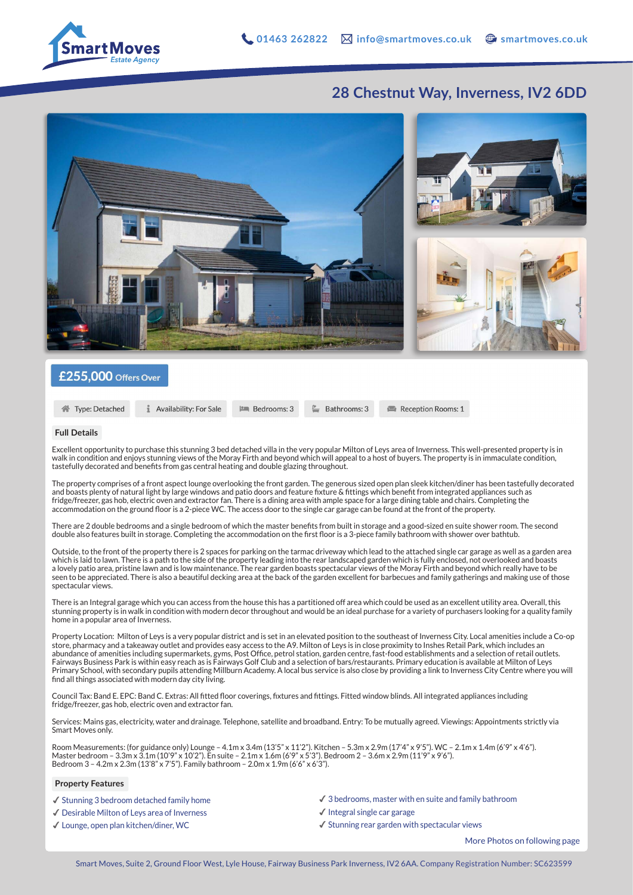

## **28 Chestnut Way, Inverness, IV2 6DD**



### $£255,000$  Offers Over

```
合 Type: Detached
```
**1** Availability: For Sale

 $\equiv$  Bathrooms: 3

Reception Rooms: 1

#### **Full Details**

Excellent opportunity to purchase this stunning 3 bed detached villa in the very popular Milton of Leys area of Inverness. This well-presented property is in walk in condition and enjoys stunning views of the Moray Firth and beyond which will appeal to a host of buyers. The property is in immaculate condition, tastefully decorated and benefits from gas central heating and double glazing throughout.

**PM** Bedrooms: 3

The property comprises of a front aspect lounge overlooking the front garden. The generous sized open plan sleek kitchen/diner has been tastefully decorated and boasts plenty of natural light by large windows and patio doors and feature fixture & fittings which benefit from integrated appliances such as fridge/freezer, gas hob, electric oven and extractor fan. There is a dining area with ample space for a large dining table and chairs. Completing the accommodation on the ground floor is a 2-piece WC. The access door to the single car garage can be found at the front of the property.

There are 2 double bedrooms and a single bedroom of which the master benefits from built in storage and a good-sized en suite shower room. The second double also features built in storage. Completing the accommodation on the first floor is a 3-piece family bathroom with shower over bathtub.

Outside, to the front of the property there is 2 spaces for parking on the tarmac driveway which lead to the attached single car garage as well as a garden area which is laid to lawn. There is a path to the side of the property leading into the rear landscaped garden which is fully enclosed, not overlooked and boasts a lovely patio area, pristine lawn and is low maintenance. The rear garden boasts spectacular views of the Moray Firth and beyond which really have to be seen to be appreciated. There is also a beautiful decking area at the back of the garden excellent for barbecues and family gatherings and making use of those spectacular views.

There is an Integral garage which you can access from the house this has a partitioned off area which could be used as an excellent utility area. Overall, this stunning property is in walk in condition with modern decor throughout and would be an ideal purchase for a variety of purchasers looking for a quality family home in a popular area of Inverness.

Property Location: Milton of Leys is a very popular district and is set in an elevated position to the southeast of Inverness City. Local amenities include a Co-op store, pharmacy and a takeaway outlet and provides easy access to the A9. Milton of Leys is in close proximity to Inshes Retail Park, which includes an abundance of amenities including supermarkets, gyms, Post Office, petrol station, garden centre, fast-food establishments and a selection of retail outlets. Fairways Business Park is within easy reach as is Fairways Golf Club and a selection of bars/restaurants. Primary education is available at Milton of Leys Primary School, with secondary pupils attending Millburn Academy. A local bus service is also close by providing a link to Inverness City Centre where you will find all things associated with modern day city living.

Council Tax: Band E. EPC: Band C. Extras: All fitted floor coverings, fixtures and fittings. Fitted window blinds. All integrated appliances including fridge/freezer, gas hob, electric oven and extractor fan.

Services: Mains gas, electricity, water and drainage. Telephone, satellite and broadband. Entry: To be mutually agreed. Viewings: Appointments strictly via Smart Moves only.

Room Measurements: (for guidance only) Lounge – 4.1m x 3.4m (13'5" x 11'2"). Kitchen – 5.3m x 2.9m (17'4" x 9'5"). WC – 2.1m x 1.4m (6'9" x 4'6"). Master bedroom – 3.3m x 3.1m (10'9" x 10'2"). En suite – 2.1m x 1.6m (6'9" x 5'3"). Bedroom 2 – 3.6m x 2.9m (11'9" x 9'6"). Bedroom 3 – 4.2m x 2.3m (13'8" x 7'5"). Family bathroom – 2.0m x 1.9m (6'6" x 6'3").

#### **Property Features**

- ✔︎ Stunning 3 bedroom detached family home
- ✔︎ Desirable Milton of Leys area of Inverness
- ✔︎ Lounge, open plan kitchen/diner, WC
- $\checkmark$  3 bedrooms, master with en suite and family bathroom
- $\checkmark$  Integral single car garage
- $\checkmark$  Stunning rear garden with spectacular views

More Photos on following page